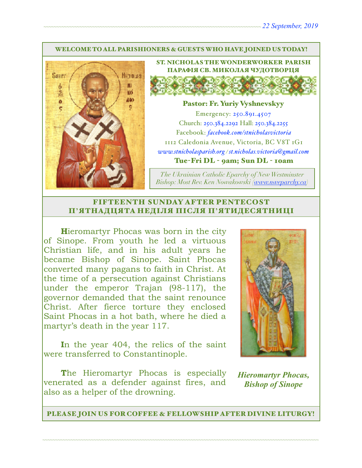#### WELCOME TO ALL PARISHIONERS & GUESTS WHO HAVE JOINED US TODAY!



ST. NICHOLAS THE WONDERWORKER PARISH ПАРАФІЯ СВ. МИКОЛАЯ ЧУДОТВОРЦЯ

#### Pastor: Fr. Yuriy Vyshnevskyy

Emergency: 250.891.4507 Church: 250.384.2292 Hall: 250.384.2255 Facebook: *[facebook.com/stnicholasvictoria](http://facebook.com/stnicholasvictoria)* 1112 Caledonia Avenue, Victoria, BC V8T 1G1 *[www.stnicholasparish.org](http://www.stnicholasparish.org) / [st.nicholas.victoria@gmail.com](mailto:st.nicholas.victoria@gmail.com)* Tue-Fri DL - 9am; Sun DL - 10am

*The Ukrainian Catholic Eparchy of New Westminster Bishop: Most Rev. Ken Nowakowski ([www.nweparchy.ca](http://www.nweparchy.ca))*

### FIFTEENTH SUNDAY AFTER PENTECOST П**'**ЯТНАДЦЯТА НЕДІЛЯ ПІСЛЯ П**'**ЯТИДЕСЯТНИЦІ

**H**ieromartyr Phocas was born in the city of Sinope. From youth he led a virtuous Christian life, and in his adult years he became Bishop of Sinope. Saint Phocas converted many pagans to faith in Christ. At the time of a persecution against Christians under the emperor Trajan (98-117), the governor demanded that the saint renounce Christ. After fierce torture they enclosed Saint Phocas in a hot bath, where he died a martyr's death in the year 117.

**I**n the year 404, the relics of the saint were transferred to Constantinople.

**The Hieromartyr Phocas is especially** venerated as a defender against fires, and also as a helper of the drowning.



*Hieromartyr Phocas, Bishop of Sinope*

PLEASE JOIN US FOR COFFEE & FELLOWSHIP AFTER DIVINE LITURGY!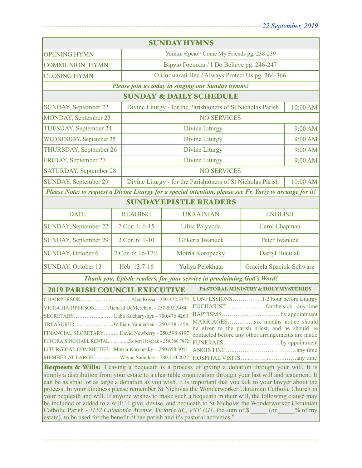| <b>SUNDAY HYMNS</b>                                                                                                                                                                                                                                                                                                                                                                                                                                                                                                                                                                                                                                                                                                                                                                                                                                                                                                                                                                                                                             |                   |                                                             |                                               |                          |          |  |
|-------------------------------------------------------------------------------------------------------------------------------------------------------------------------------------------------------------------------------------------------------------------------------------------------------------------------------------------------------------------------------------------------------------------------------------------------------------------------------------------------------------------------------------------------------------------------------------------------------------------------------------------------------------------------------------------------------------------------------------------------------------------------------------------------------------------------------------------------------------------------------------------------------------------------------------------------------------------------------------------------------------------------------------------------|-------------------|-------------------------------------------------------------|-----------------------------------------------|--------------------------|----------|--|
| <b>OPENING HYMN</b>                                                                                                                                                                                                                                                                                                                                                                                                                                                                                                                                                                                                                                                                                                                                                                                                                                                                                                                                                                                                                             |                   | Увійди Єрею / Come My Friends pg. 238-239                   |                                               |                          |          |  |
| <b>COMMUNION HYMN</b>                                                                                                                                                                                                                                                                                                                                                                                                                                                                                                                                                                                                                                                                                                                                                                                                                                                                                                                                                                                                                           |                   | Вірую Господи / I Do Believe pg. 246-247                    |                                               |                          |          |  |
| <b>CLOSING HYMN</b>                                                                                                                                                                                                                                                                                                                                                                                                                                                                                                                                                                                                                                                                                                                                                                                                                                                                                                                                                                                                                             |                   | О Спомагай Нас / Always Protect Us pg. 364-366              |                                               |                          |          |  |
| Please join us today in singing our Sunday hymns!                                                                                                                                                                                                                                                                                                                                                                                                                                                                                                                                                                                                                                                                                                                                                                                                                                                                                                                                                                                               |                   |                                                             |                                               |                          |          |  |
| <b>SUNDAY &amp; DAILY SCHEDULE</b>                                                                                                                                                                                                                                                                                                                                                                                                                                                                                                                                                                                                                                                                                                                                                                                                                                                                                                                                                                                                              |                   |                                                             |                                               |                          |          |  |
| <b>SUNDAY, September 22</b>                                                                                                                                                                                                                                                                                                                                                                                                                                                                                                                                                                                                                                                                                                                                                                                                                                                                                                                                                                                                                     |                   | Divine Liturgy - for the Parishioners of St Nicholas Parish |                                               |                          | 10:00 AM |  |
| <b>MONDAY, September 23</b>                                                                                                                                                                                                                                                                                                                                                                                                                                                                                                                                                                                                                                                                                                                                                                                                                                                                                                                                                                                                                     |                   | <b>NO SERVICES</b>                                          |                                               |                          |          |  |
| TUESDAY, September 24                                                                                                                                                                                                                                                                                                                                                                                                                                                                                                                                                                                                                                                                                                                                                                                                                                                                                                                                                                                                                           |                   | Divine Liturgy                                              |                                               |                          | 9:00 AM  |  |
| <b>WEDNESDAY, September 25</b>                                                                                                                                                                                                                                                                                                                                                                                                                                                                                                                                                                                                                                                                                                                                                                                                                                                                                                                                                                                                                  |                   | Divine Liturgy                                              |                                               |                          | 9:00 AM  |  |
| THURSDAY, September 26                                                                                                                                                                                                                                                                                                                                                                                                                                                                                                                                                                                                                                                                                                                                                                                                                                                                                                                                                                                                                          |                   | <b>Divine Liturgy</b>                                       |                                               |                          | 9:00 AM  |  |
| FRIDAY, September 27                                                                                                                                                                                                                                                                                                                                                                                                                                                                                                                                                                                                                                                                                                                                                                                                                                                                                                                                                                                                                            |                   | Divine Liturgy                                              |                                               |                          | 9:00 AM  |  |
| <b>SATURDAY, September 28</b>                                                                                                                                                                                                                                                                                                                                                                                                                                                                                                                                                                                                                                                                                                                                                                                                                                                                                                                                                                                                                   |                   | <b>NO SERVICES</b>                                          |                                               |                          |          |  |
| <b>SUNDAY, September 29</b>                                                                                                                                                                                                                                                                                                                                                                                                                                                                                                                                                                                                                                                                                                                                                                                                                                                                                                                                                                                                                     |                   | Divine Liturgy - for the Parishioners of St Nicholas Parish |                                               |                          | 10:00 AM |  |
| Please Note: to request a Divine Liturgy for a special intention, please see Fr. Yuriy to arrange for it!                                                                                                                                                                                                                                                                                                                                                                                                                                                                                                                                                                                                                                                                                                                                                                                                                                                                                                                                       |                   |                                                             |                                               |                          |          |  |
| <b>SUNDAY EPISTLE READERS</b>                                                                                                                                                                                                                                                                                                                                                                                                                                                                                                                                                                                                                                                                                                                                                                                                                                                                                                                                                                                                                   |                   |                                                             |                                               |                          |          |  |
| <b>DATE</b>                                                                                                                                                                                                                                                                                                                                                                                                                                                                                                                                                                                                                                                                                                                                                                                                                                                                                                                                                                                                                                     | <b>READING</b>    | <b>UKRAINIAN</b>                                            |                                               | <b>ENGLISH</b>           |          |  |
| <b>SUNDAY, September 22</b>                                                                                                                                                                                                                                                                                                                                                                                                                                                                                                                                                                                                                                                                                                                                                                                                                                                                                                                                                                                                                     | 2 Cor. 4: 6-15    | Liliia Palyvoda                                             |                                               | Carol Chapman            |          |  |
| <b>SUNDAY, September 29</b>                                                                                                                                                                                                                                                                                                                                                                                                                                                                                                                                                                                                                                                                                                                                                                                                                                                                                                                                                                                                                     | 2 Cor. 6: 1-10    |                                                             | Glikeria Iwanuck                              | Peter Iwanuck            |          |  |
| <b>SUNDAY, October 6</b>                                                                                                                                                                                                                                                                                                                                                                                                                                                                                                                                                                                                                                                                                                                                                                                                                                                                                                                                                                                                                        | 2 Cor. 6: 16-17:1 | Motria Koropecky                                            |                                               | Darryl Huculak           |          |  |
| <b>SUNDAY, October 13</b>                                                                                                                                                                                                                                                                                                                                                                                                                                                                                                                                                                                                                                                                                                                                                                                                                                                                                                                                                                                                                       | Heb. 13:7-16      | Yuliya Pelekhata                                            |                                               | Graciela Spaciuk-Schwarz |          |  |
| Thank you, Epistle readers, for your service in proclaiming God's Word!                                                                                                                                                                                                                                                                                                                                                                                                                                                                                                                                                                                                                                                                                                                                                                                                                                                                                                                                                                         |                   |                                                             |                                               |                          |          |  |
| <b>2019 PARISH COUNCIL EXECUTIVE</b>                                                                                                                                                                                                                                                                                                                                                                                                                                                                                                                                                                                                                                                                                                                                                                                                                                                                                                                                                                                                            |                   |                                                             | <b>PASTORAL MINISTRY &amp; HOLY MYSTERIES</b> |                          |          |  |
| CHAIRPERSONAlec Rossa - 250.472.3374<br>VICE-CHAIRPERSONRichard DeMerchant - 250.893.3484<br>BAPTISMSby appointment  <br>SECRETARYLuba Kucharyshyn - 780.476.4260<br>MARRIAGESsix months notice should<br>TREASURERWilliam Vanderven - 250.478.1458<br>be given to the parish priest, and he should be<br>FINANCIAL SECRETARYDavid Newberry - 250.598.8197<br>contacted before any other arrangements are made<br>FUNDRAISING/HALL RENTALRobert Herchak - 250.386.7872<br>FUNERALSby appointment<br>LITURGICAL COMMITTEEMotria Koropecky - 250.658.3051<br>MEMBER AT LARGEWayne Saunders - 780.710.2027<br>Bequests & Wills: Leaving a bequeath is a process of giving a donation through your will. It is<br>simply a distribution from your estate to a charitable organization through your last will and testament. It<br>can be as small or as large a donation as you wish. It is important that you talk to your lawyer about the<br>process. In your kindness please remember St Nicholas the Wonderworker Ukrainian Catholic Church in |                   |                                                             |                                               |                          |          |  |
| your bequeath and will. If anyone wishes to make such a bequeath in their will, the following clause may<br>be included or added to a will: "I give, devise, and bequeath to St Nicholas the Wonderworker Ukrainian<br>Catholic Parish - 1112 Caledonia Avenue, Victoria BC, V8T 1G1, the sum of \$ (or<br>$\%$ of my<br>estate), to be used for the benefit of the parish and it's pastoral activities."                                                                                                                                                                                                                                                                                                                                                                                                                                                                                                                                                                                                                                       |                   |                                                             |                                               |                          |          |  |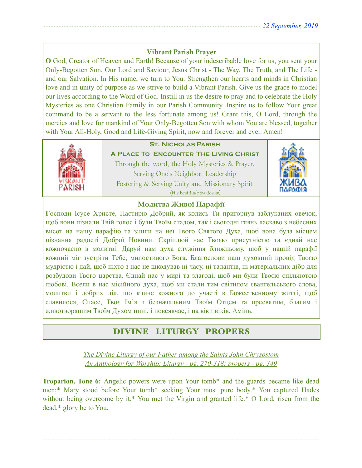### **Vibrant Parish Prayer**

**O** God, Creator of Heaven and Earth! Because of your indescribable love for us, you sent your Only-Begotten Son, Our Lord and Saviour, Jesus Christ - The Way, The Truth, and The Life and our Salvation. In His name, we turn to You. Strengthen our hearts and minds in Christian love and in unity of purpose as we strive to build a Vibrant Parish. Give us the grace to model our lives according to the Word of God. Instill in us the desire to pray and to celebrate the Holy Mysteries as one Christian Family in our Parish Community. Inspire us to follow Your great command to be a servant to the less fortunate among us! Grant this, O Lord, through the mercies and love for mankind of Your Only-Begotten Son with whom You are blessed, together with Your All-Holy, Good and Life-Giving Spirit, now and forever and ever. Amen!



## **St. Nicholas Parish**

**A Place To Encounter The Living Christ** Through the word, the Holy Mysteries & Prayer, Serving One's Neighbor, Leadership Fostering & Serving Unity and Missionary Spirit (His Beatitude Sviatoslav)



### **Молитва Живої Парафії**

**Г**осподи Ісусе Христе, Пастирю Добрий, як колись Ти пригорнув заблуканих овечок, щоб вони пізнали Твій голос і були Твоїм стадом, так і сьогодні глянь ласкаво з небесних висот на нашу парафію та зішли на неї Твого Святого Духа, щоб вона була місцем пізнання радості Доброї Новини. Скріплюй нас Твоєю присутністю та єднай нас кожночасно в молитві. Даруй нам духа служіння ближньому, щоб у нашій парафії кожний міг зустріти Тебе, милостивого Бога. Благослови наш духовний провід Твоєю мудрістю і дай, щоб ніхто з нас не шкодував ні часу, ні талантів, ні матеріальних дібр для розбудови Твого царства. Єднай нас у мирі та злагоді, щоб ми були Твоєю спільнотою любові. Всели в нас місійного духа, щоб ми стали тим світилом євангельського слова, молитви і добрих діл, що кличе кожного до участі в Божественному житті, щоб славилося, Спасе, Твоє Ім'я з безначальним Твоїм Отцем та пресвятим, благим і животворящим Твоїм Духом нині, і повсякчас, і на віки віків. Амінь.

# DIVINE LITURGY PROPERS

*The Divine Liturgy of our Father among the Saints John Chrysostom An Anthology for Worship: Liturgy - pg. 270-318; propers - pg. 349* 

**Troparion, Tone 6:** Angelic powers were upon Your tomb\* and the guards became like dead men;\* Mary stood before Your tomb\* seeking Your most pure body.\* You captured Hades without being overcome by it.\* You met the Virgin and granted life.\* O Lord, risen from the dead,\* glory be to You.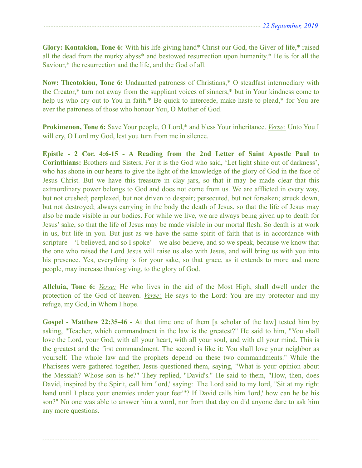**Glory: Kontakion, Tone 6:** With his life-giving hand\* Christ our God, the Giver of life,\* raised all the dead from the murky abyss\* and bestowed resurrection upon humanity.\* He is for all the Saviour,\* the resurrection and the life, and the God of all.

**Now: Theotokion, Tone 6:** Undaunted patroness of Christians,\* O steadfast intermediary with the Creator,\* turn not away from the suppliant voices of sinners,\* but in Your kindness come to help us who cry out to You in faith.\* Be quick to intercede, make haste to plead,\* for You are ever the patroness of those who honour You, O Mother of God.

**Prokimenon, Tone 6:** Save Your people, O Lord,\* and bless Your inheritance. *Verse:* Unto You I will cry, O Lord my God, lest you turn from me in silence.

**Epistle - 2 Cor. 4:6-15 - A Reading from the 2nd Letter of Saint Apostle Paul to Corinthians:** Brothers and Sisters, For it is the God who said, 'Let light shine out of darkness', who has shone in our hearts to give the light of the knowledge of the glory of God in the face of Jesus Christ. But we have this treasure in clay jars, so that it may be made clear that this extraordinary power belongs to God and does not come from us. We are afflicted in every way, but not crushed; perplexed, but not driven to despair; persecuted, but not forsaken; struck down, but not destroyed; always carrying in the body the death of Jesus, so that the life of Jesus may also be made visible in our bodies. For while we live, we are always being given up to death for Jesus' sake, so that the life of Jesus may be made visible in our mortal flesh. So death is at work in us, but life in you. But just as we have the same spirit of faith that is in accordance with scripture—'I believed, and so I spoke'—we also believe, and so we speak, because we know that the one who raised the Lord Jesus will raise us also with Jesus, and will bring us with you into his presence. Yes, everything is for your sake, so that grace, as it extends to more and more people, may increase thanksgiving, to the glory of God.

**Alleluia, Tone 6:** *Verse:* He who lives in the aid of the Most High, shall dwell under the protection of the God of heaven. *Verse:* He says to the Lord: You are my protector and my refuge, my God, in Whom I hope.

**Gospel - Matthew 22:35-46 -** At that time one of them [a scholar of the law] tested him by asking, "Teacher, which commandment in the law is the greatest?" He said to him, "You shall love the Lord, your God, with all your heart, with all your soul, and with all your mind. This is the greatest and the first commandment. The second is like it: You shall love your neighbor as yourself. The whole law and the prophets depend on these two commandments." While the Pharisees were gathered together, Jesus questioned them, saying, "What is your opinion about the Messiah? Whose son is he?" They replied, "David's." He said to them, "How, then, does David, inspired by the Spirit, call him 'lord,' saying: 'The Lord said to my lord, "Sit at my right hand until I place your enemies under your feet"'? If David calls him 'lord,' how can he be his son?" No one was able to answer him a word, nor from that day on did anyone dare to ask him any more questions.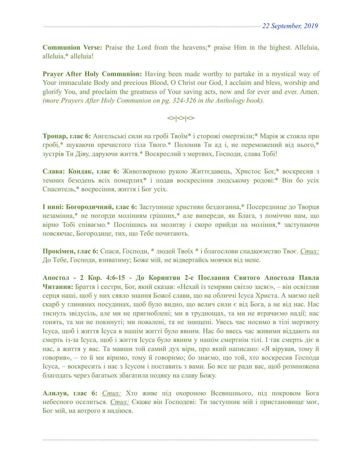**Communion Verse:** Praise the Lord from the heavens;\* praise Him in the highest. Alleluia, alleluia,\* alleluia!

**Prayer After Holy Communion:** Having been made worthy to partake in a mystical way of Your immaculate Body and precious Blood, O Christ our God, I acclaim and bless, worship and glorify You, and proclaim the greatness of Your saving acts, now and for ever and ever. Amen. *(more Prayers After Holy Communion on pg. 324-326 in the Anthology book).* 

#### $\langle$

**Тропар, глас 6:** Ангельські сили на гробі Твоїм\* і сторожі омертвіли;\* Марія ж стояла при гробі,\* шукаючи пречистого тіла Твого.\* Полонив Ти ад і, не переможений від нього,\* зустрів Ти Діву, даруючи життя.\* Воскреслий з мертвих, Господи, слава Тобі!

**Слава: Кондак, глас 6:** Животворною рукою Життєдавець, Христос Бог,\* воскресив з темних безодень всіх померлих\* і подав воскресіння людському родові:\* Він бо усіх Спаситель,\* восресіння, життя і Бог усіх.

**І нині: Богородичний, глас 6:** Заступнице християн бездоганна,\* Посереднице до Творця незамінна,\* не погорди молінням грішних,\* але випереди, як Блага, з поміччю нам, що вірно Тобі співаємо.\* Поспішись на молитву і скоро прийди на моління,\* заступаючи повсякчас, Богородице, тих, що Тебе почитають.

**Прокімен, глас 6:** Спаси, Господи, \* людей Твоїх \* і благослови спадкоємство Твоє. *Стих:* До Тебе, Господи, взиватиму; Боже мій, не відвертайсь мовчки від мене.

**Апостол - 2 Кор. 4:6-15 - До Коринтян 2-e Послання Святого Апостола Павла Читання:** Браття і сестри, Бог, який сказав: «Нехай із темряви світло засяє», – він освітлив серця наші, щоб у них сяяло знання Божої слави, що на обличчі Ісуса Христа. А маємо цей скарб у глиняних посудинах, щоб було видно, що велич сили є від Бога, а не від нас. Нас тиснуть звідусіль, але ми не пригноблені; ми в труднощах, та ми не втрачаємо надії; нас гонять, та ми не покинуті; ми повалені, та не знищені. Увесь час носимо в тілі мертвоту Ісуса, щоб і життя Ісуса в нашім житті було явним. Нас бо ввесь час живими віддають на смерть із-за Ісуса, щоб і життя Ісуса було явним у нашім смертнім тілі. І так смерть діє в нас, а життя у вас. Та мавши той самий дух віри, про який написано: «Я вірував, тому й говорив», – то й ми віримо, тому й говоримо; бо знаємо, що той, хто воскресив Господа Ісуса, – воскресить і нас з Ісусом і поставить з вами. Бо все це ради вас, щоб розмножена благодать через багатьох збагатила подяку на славу Божу.

**Алилуя, глас 6:** *Стих:* Хто живе під охороною Всевишнього, під покровом Бога небесного оселиться. *Стих:* Скаже він Господеві: Ти заступник мій і пристановище моє, Бог мій, на котрого я надіюся.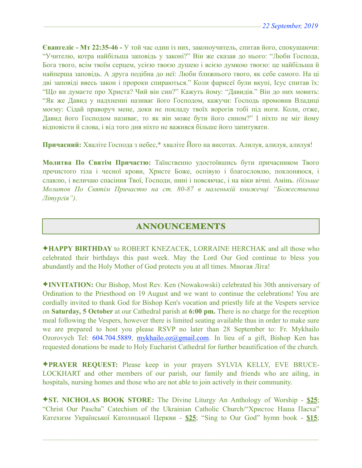**Євангеліє - Мт 22:35-46 -** У той час один із них, законоучитель, спитав його, спокушаючи: "Учителю, котра найбільша заповідь у законі?" Він же сказав до нього: "Люби Господа, Бога твого, всім твоїм серцем, усією твоєю душею і всією думкою твоєю: це найбільша й найперша заповідь. А друга подібна до неї: Люби ближнього твого, як себе самого. На ці дві заповіді ввесь закон і пророки спираються." Коли фарисеї були вкупі, Ісус спитав їх: "Що ви думаєте про Христа? Чий він син?" Кажуть йому: "Давидів." Він до них мовить: "Як же Давид у надхненні називає його Господом, кажучи: Господь промовив Владиці моєму: Сідай праворуч мене, доки не покладу твоїх ворогів тобі під ноги. Коли, отже, Давид його Господом називає, то як він може бути його сином?" І ніхто не міг йому відповісти й слова, і від того дня ніхто не важився більше його запитувати.

**Причасний:** Хваліте Господа з небес,\* хваліте Його на висотах. Алилуя, алилуя, алилуя!

**Молитва По Святім Причастю:** Таїнственно удостоївшись бути причасником Твого пречистого тіла і чесної крови, Христе Боже, оспівую і благословлю, поклоняюся, і славлю, і величаю спасіння Твої, Господи, нині і повсякчас, і на віки вічні. Амінь. *(більше Молитов По Святім Причастю на ст. 80-87 в маленькій книжечці "Божественна Літургія")*.

## ANNOUNCEMENTS

✦**HAPPY BIRTHDAY** to ROBERT KNEZACEK, LORRAINE HERCHAK and all those who celebrated their birthdays this past week. May the Lord Our God continue to bless you abundantly and the Holy Mother of God protects you at all times. Многая Літа!

✦**INVITATION:** Our Bishop, Most Rev. Ken (Nowakowski) celebrated his 30th anniversary of Ordination to the Priesthood on 19 August and we want to continue the celebrations! You are cordially invited to thank God for Bishop Ken's vocation and priestly life at the Vespers service on **Saturday, 5 October** at our Cathedral parish at **6:00 pm.** There is no charge for the reception meal following the Vespers, however there is limited seating available thus in order to make sure we are prepared to host you please RSVP no later than 28 September to: Fr. Mykhailo Ozorovych Tel: 604.704.5889, [mykhailo.oz@gmail.com](mailto:mykhailo.oz@gmail.com). In lieu of a gift, Bishop Ken has requested donations be made to Holy Eucharist Cathedral for further beautification of the church.

✦**PRAYER REQUEST:** Please keep in your prayers SYLVIA KELLY, EVE BRUCE-LOCKHART and other members of our parish, our family and friends who are ailing, in hospitals, nursing homes and those who are not able to join actively in their community.

✦**ST. NICHOLAS BOOK STORE:** The Divine Liturgy An Anthology of Worship - **\$25**; "Christ Our Pascha" Catechism of the Ukrainian Catholic Church/"Христос Наша Пасха" Катехизм Української Католицької Церкви - **\$25**; "Sing to Our God" hymn book - **\$15**;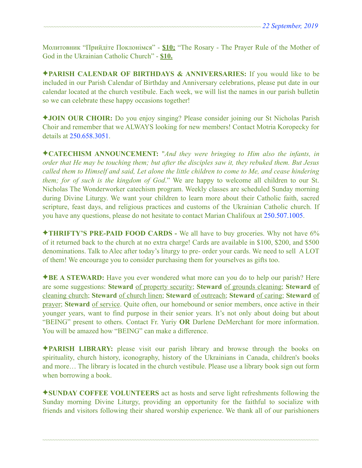Молитовник "Прийдіте Поклонімся" - **\$10;** "The Rosary - The Prayer Rule of the Mother of God in the Ukrainian Catholic Church" - **\$10.** 

✦**PARISH CALENDAR OF BIRTHDAYS & ANNIVERSARIES:** If you would like to be included in our Parish Calendar of Birthday and Anniversary celebrations, please put date in our calendar located at the church vestibule. Each week, we will list the names in our parish bulletin so we can celebrate these happy occasions together!

✦**JOIN OUR CHOIR:** Do you enjoy singing? Please consider joining our St Nicholas Parish Choir and remember that we ALWAYS looking for new members! Contact Motria Koropecky for details at 250.658.3051.

✦**CATECHISM ANNOUNCEMENT:** "*And they were bringing to Him also the infants, in order that He may be touching them; but after the disciples saw it, they rebuked them. But Jesus called them to Himself and said, Let alone the little children to come to Me, and cease hindering them; for of such is the kingdom of God*." We are happy to welcome all children to our St. Nicholas The Wonderworker catechism program. Weekly classes are scheduled Sunday morning during Divine Liturgy. We want your children to learn more about their Catholic faith, sacred scripture, feast days, and religious practices and customs of the Ukrainian Catholic church. If you have any questions, please do not hesitate to contact Marian Chalifoux at 250.507.1005.

✦**THRIFTY'S PRE-PAID FOOD CARDS -** We all have to buy groceries. Why not have 6% of it returned back to the church at no extra charge! Cards are available in \$100, \$200, and \$500 denominations. Talk to Alec after today's liturgy to pre- order your cards. We need to sell A LOT of them! We encourage you to consider purchasing them for yourselves as gifts too.

✦**BE A STEWARD:** Have you ever wondered what more can you do to help our parish? Here are some suggestions: **Steward** of property security; **Steward** of grounds cleaning; **Steward** of cleaning church; **Steward** of church linen; **Steward** of outreach; **Steward** of caring; **Steward** of prayer; **Steward** of service. Quite often, our homebound or senior members, once active in their younger years, want to find purpose in their senior years. It's not only about doing but about "BEING" present to others. Contact Fr. Yuriy **OR** Darlene DeMerchant for more information. You will be amazed how "BEING" can make a difference.

✦**PARISH LIBRARY:** please visit our parish library and browse through the books on spirituality, church history, iconography, history of the Ukrainians in Canada, children's books and more… The library is located in the church vestibule. Please use a library book sign out form when borrowing a book.

✦**SUNDAY COFFEE VOLUNTEERS** act as hosts and serve light refreshments following the Sunday morning Divine Liturgy, providing an opportunity for the faithful to socialize with friends and visitors following their shared worship experience. We thank all of our parishioners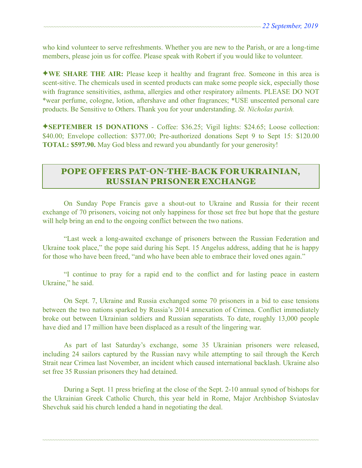who kind volunteer to serve refreshments. Whether you are new to the Parish, or are a long-time members, please join us for coffee. Please speak with Robert if you would like to volunteer.

✦**WE SHARE THE AIR:** Please keep it healthy and fragrant free. Someone in this area is scent-sitive. The chemicals used in scented products can make some people sick, especially those with fragrance sensitivities, asthma, allergies and other respiratory ailments. PLEASE DO NOT \*wear perfume, cologne, lotion, aftershave and other fragrances; \*USE unscented personal care products. Be Sensitive to Others. Thank you for your understanding. *St. Nicholas parish.* 

✦**SEPTEMBER 15 DONATIONS** - Coffee: \$36.25; Vigil lights: \$24.65; Loose collection: \$40.00; Envelope collection: \$377.00; Pre-authorized donations Sept 9 to Sept 15: \$120.00 **TOTAL: \$597.90.** May God bless and reward you abundantly for your generosity!

# POPE OFFERS PAT-ON-THE-BACK FOR UKRAINIAN, RUSSIAN PRISONER EXCHANGE

 On Sunday Pope Francis gave a shout-out to Ukraine and Russia for their recent exchange of 70 prisoners, voicing not only happiness for those set free but hope that the gesture will help bring an end to the ongoing conflict between the two nations.

 "Last week a long-awaited exchange of prisoners between the Russian Federation and Ukraine took place," the pope said during his Sept. 15 Angelus address, adding that he is happy for those who have been freed, "and who have been able to embrace their loved ones again."

 "I continue to pray for a rapid end to the conflict and for lasting peace in eastern Ukraine," he said.

 On Sept. 7, Ukraine and Russia exchanged some 70 prisoners in a bid to ease tensions between the two nations sparked by Russia's 2014 annexation of Crimea. Conflict immediately broke out between Ukrainian soldiers and Russian separatists. To date, roughly 13,000 people have died and 17 million have been displaced as a result of the lingering war.

 As part of last Saturday's exchange, some 35 Ukrainian prisoners were released, including 24 sailors captured by the Russian navy while attempting to sail through the Kerch Strait near Crimea last November, an incident which caused international backlash. Ukraine also set free 35 Russian prisoners they had detained.

 During a Sept. 11 press briefing at the close of the Sept. 2-10 annual synod of bishops for the Ukrainian Greek Catholic Church, this year held in Rome, Major Archbishop Sviatoslav Shevchuk said his church lended a hand in negotiating the deal.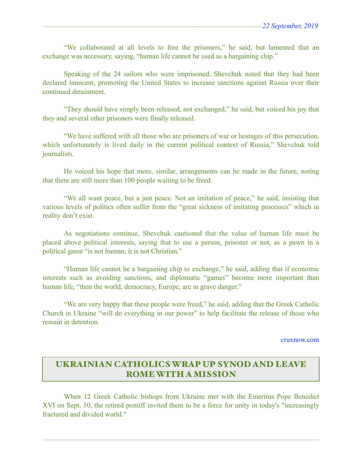"We collaborated at all levels to free the prisoners," he said, but lamented that an exchange was necessary, saying, "human life cannot be used as a bargaining chip."

 Speaking of the 24 sailors who were imprisoned, Shevchuk noted that they had been declared innocent, promoting the United States to increase sanctions against Russia over their continued detainment.

 "They should have simply been released, not exchanged," he said, but voiced his joy that they and several other prisoners were finally released.

 "We have suffered with all those who are prisoners of war or hostages of this persecution, which unfortunately is lived daily in the current political context of Russia," Shevchuk told journalists.

 He voiced his hope that more, similar, arrangements can be made in the future, noting that there are still more than 100 people waiting to be freed.

 "We all want peace, but a just peace. Not an imitation of peace," he said, insisting that various levels of politics often suffer from the "great sickness of imitating processes" which in reality don't exist.

 As negotiations continue, Shevchuk cautioned that the value of human life must be placed above political interests, saying that to use a person, prisoner or not, as a pawn in a political game "is not human, it is not Christian."

 "Human life cannot be a bargaining chip to exchange," he said, adding that if economic interests such as avoiding sanctions, and diplomatic "games" become more important than human life, "then the world, democracy, Europe, are in grave danger."

 "We are very happy that these people were freed," he said, adding that the Greek Catholic Church in Ukraine "will do everything in our power" to help facilitate the release of those who remain in detention.

[cruxnow.com](http://cruxnow.com)

# UKRAINIAN CATHOLICS WRAP UP SYNOD AND LEAVE ROME WITH A MISSION

When 12 Greek Catholic bishops from Ukraine met with the Emeritus Pope Benedict XVI on Sept. 10, the retired pontiff invited them to be a force for unity in today's "increasingly fractured and divided world."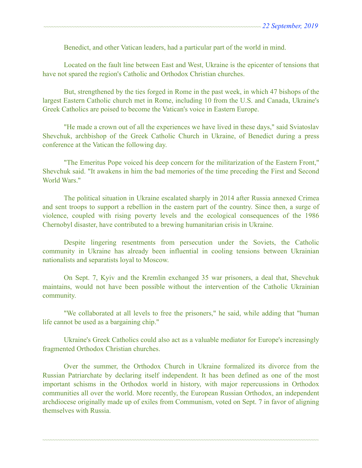Benedict, and other Vatican leaders, had a particular part of the world in mind.

 Located on the fault line between East and West, Ukraine is the epicenter of tensions that have not spared the region's Catholic and Orthodox Christian churches.

 But, strengthened by the ties forged in Rome in the past week, in which 47 bishops of the largest Eastern Catholic church met in Rome, including 10 from the U.S. and Canada, Ukraine's Greek Catholics are poised to become the Vatican's voice in Eastern Europe.

 "He made a crown out of all the experiences we have lived in these days," said Sviatoslav Shevchuk, archbishop of the Greek Catholic Church in Ukraine, of Benedict during a press conference at the Vatican the following day.

 "The Emeritus Pope voiced his deep concern for the militarization of the Eastern Front," Shevchuk said. "It awakens in him the bad memories of the time preceding the First and Second World Wars."

 The political situation in Ukraine escalated sharply in 2014 after Russia annexed Crimea and sent troops to support a rebellion in the eastern part of the country. Since then, a surge of violence, coupled with rising poverty levels and the ecological consequences of the 1986 Chernobyl disaster, have contributed to a brewing humanitarian crisis in Ukraine.

 Despite lingering resentments from persecution under the Soviets, the Catholic community in Ukraine has already been influential in cooling tensions between Ukrainian nationalists and separatists loyal to Moscow.

 On Sept. 7, Kyiv and the Kremlin exchanged 35 war prisoners, a deal that, Shevchuk maintains, would not have been possible without the intervention of the Catholic Ukrainian community.

 "We collaborated at all levels to free the prisoners," he said, while adding that "human life cannot be used as a bargaining chip."

 Ukraine's Greek Catholics could also act as a valuable mediator for Europe's increasingly fragmented Orthodox Christian churches.

 Over the summer, the Orthodox Church in Ukraine formalized its divorce from the Russian Patriarchate by declaring itself independent. It has been defined as one of the most important schisms in the Orthodox world in history, with major repercussions in Orthodox communities all over the world. More recently, the European Russian Orthodox, an independent archdiocese originally made up of exiles from Communism, voted on Sept. 7 in favor of aligning themselves with Russia.